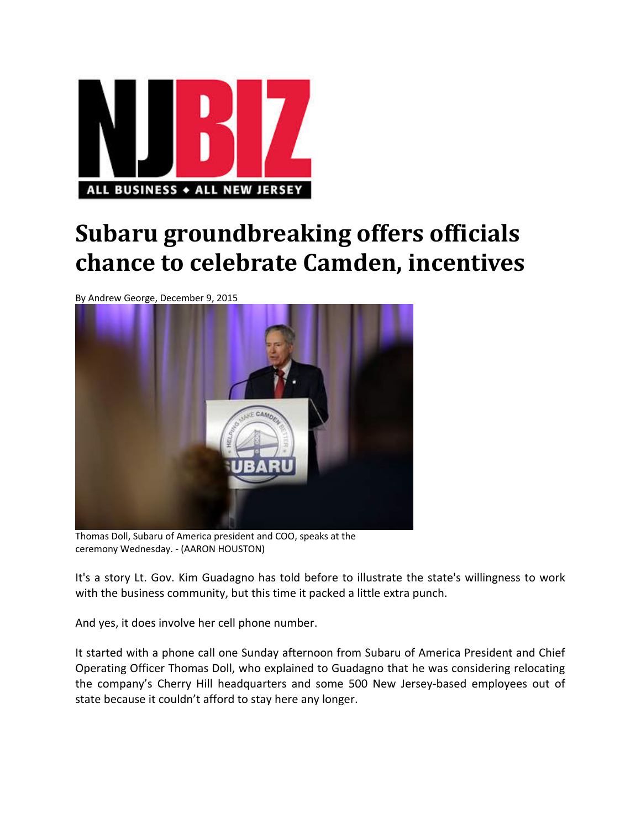

## **Subaru groundbreaking offers officials chance to celebrate Camden, incentives**

By Andrew George, December 9, 2015



Thomas Doll, Subaru of America president and COO, speaks at the ceremony Wednesday. ‐ (AARON HOUSTON)

It's a story Lt. Gov. Kim Guadagno has told before to illustrate the state's willingness to work with the business community, but this time it packed a little extra punch.

And yes, it does involve her cell phone number.

It started with a phone call one Sunday afternoon from Subaru of America President and Chief Operating Officer Thomas Doll, who explained to Guadagno that he was considering relocating the company's Cherry Hill headquarters and some 500 New Jersey‐based employees out of state because it couldn't afford to stay here any longer.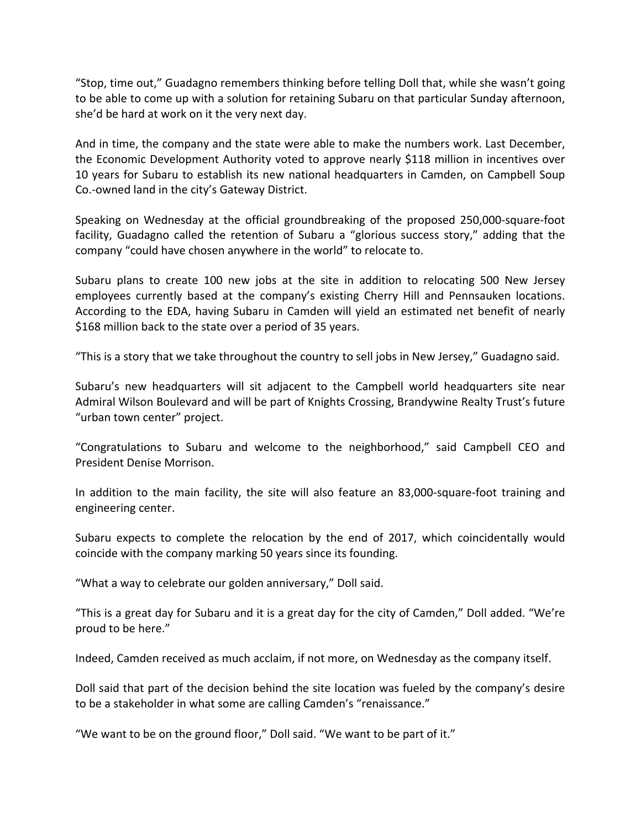"Stop, time out," Guadagno remembers thinking before telling Doll that, while she wasn't going to be able to come up with a solution for retaining Subaru on that particular Sunday afternoon, she'd be hard at work on it the very next day.

And in time, the company and the state were able to make the numbers work. Last December, the Economic Development Authority voted to approve nearly \$118 million in incentives over 10 years for Subaru to establish its new national headquarters in Camden, on Campbell Soup Co.‐owned land in the city's Gateway District.

Speaking on Wednesday at the official groundbreaking of the proposed 250,000‐square‐foot facility, Guadagno called the retention of Subaru a "glorious success story," adding that the company "could have chosen anywhere in the world" to relocate to.

Subaru plans to create 100 new jobs at the site in addition to relocating 500 New Jersey employees currently based at the company's existing Cherry Hill and Pennsauken locations. According to the EDA, having Subaru in Camden will yield an estimated net benefit of nearly \$168 million back to the state over a period of 35 years.

"This is a story that we take throughout the country to sell jobs in New Jersey," Guadagno said.

Subaru's new headquarters will sit adjacent to the Campbell world headquarters site near Admiral Wilson Boulevard and will be part of Knights Crossing, Brandywine Realty Trust's future "urban town center" project.

"Congratulations to Subaru and welcome to the neighborhood," said Campbell CEO and President Denise Morrison.

In addition to the main facility, the site will also feature an 83,000‐square‐foot training and engineering center.

Subaru expects to complete the relocation by the end of 2017, which coincidentally would coincide with the company marking 50 years since its founding.

"What a way to celebrate our golden anniversary," Doll said.

"This is a great day for Subaru and it is a great day for the city of Camden," Doll added. "We're proud to be here."

Indeed, Camden received as much acclaim, if not more, on Wednesday as the company itself.

Doll said that part of the decision behind the site location was fueled by the company's desire to be a stakeholder in what some are calling Camden's "renaissance."

"We want to be on the ground floor," Doll said. "We want to be part of it."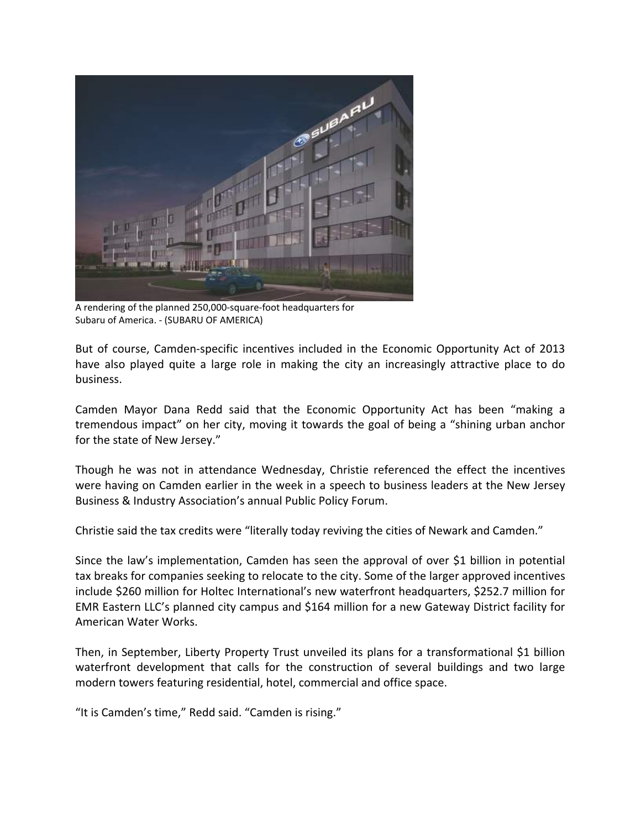

A rendering of the planned 250,000‐square‐foot headquarters for Subaru of America. ‐ (SUBARU OF AMERICA)

But of course, Camden‐specific incentives included in the Economic Opportunity Act of 2013 have also played quite a large role in making the city an increasingly attractive place to do business.

Camden Mayor Dana Redd said that the Economic Opportunity Act has been "making a tremendous impact" on her city, moving it towards the goal of being a "shining urban anchor for the state of New Jersey."

Though he was not in attendance Wednesday, Christie referenced the effect the incentives were having on Camden earlier in the week in a speech to business leaders at the New Jersey Business & Industry Association's annual Public Policy Forum.

Christie said the tax credits were "literally today reviving the cities of Newark and Camden."

Since the law's implementation, Camden has seen the approval of over \$1 billion in potential tax breaks for companies seeking to relocate to the city. Some of the larger approved incentives include \$260 million for Holtec International's new waterfront headquarters, \$252.7 million for EMR Eastern LLC's planned city campus and \$164 million for a new Gateway District facility for American Water Works.

Then, in September, Liberty Property Trust unveiled its plans for a transformational \$1 billion waterfront development that calls for the construction of several buildings and two large modern towers featuring residential, hotel, commercial and office space.

"It is Camden's time," Redd said. "Camden is rising."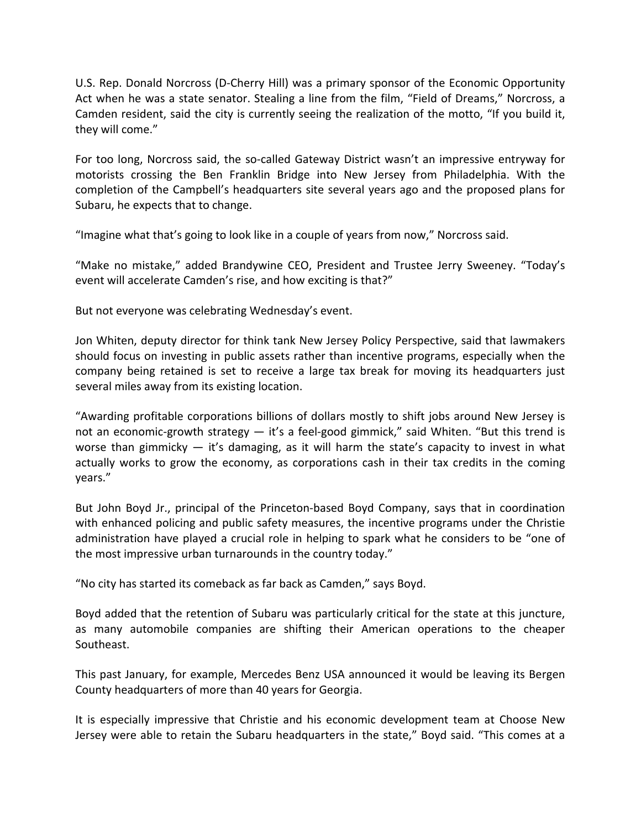U.S. Rep. Donald Norcross (D‐Cherry Hill) was a primary sponsor of the Economic Opportunity Act when he was a state senator. Stealing a line from the film, "Field of Dreams," Norcross, a Camden resident, said the city is currently seeing the realization of the motto, "If you build it, they will come."

For too long, Norcross said, the so‐called Gateway District wasn't an impressive entryway for motorists crossing the Ben Franklin Bridge into New Jersey from Philadelphia. With the completion of the Campbell's headquarters site several years ago and the proposed plans for Subaru, he expects that to change.

"Imagine what that's going to look like in a couple of years from now," Norcross said.

"Make no mistake," added Brandywine CEO, President and Trustee Jerry Sweeney. "Today's event will accelerate Camden's rise, and how exciting is that?"

But not everyone was celebrating Wednesday's event.

Jon Whiten, deputy director for think tank New Jersey Policy Perspective, said that lawmakers should focus on investing in public assets rather than incentive programs, especially when the company being retained is set to receive a large tax break for moving its headquarters just several miles away from its existing location.

"Awarding profitable corporations billions of dollars mostly to shift jobs around New Jersey is not an economic-growth strategy — it's a feel-good gimmick," said Whiten. "But this trend is worse than gimmicky  $-$  it's damaging, as it will harm the state's capacity to invest in what actually works to grow the economy, as corporations cash in their tax credits in the coming years."

But John Boyd Jr., principal of the Princeton‐based Boyd Company, says that in coordination with enhanced policing and public safety measures, the incentive programs under the Christie administration have played a crucial role in helping to spark what he considers to be "one of the most impressive urban turnarounds in the country today."

"No city has started its comeback as far back as Camden," says Boyd.

Boyd added that the retention of Subaru was particularly critical for the state at this juncture, as many automobile companies are shifting their American operations to the cheaper Southeast.

This past January, for example, Mercedes Benz USA announced it would be leaving its Bergen County headquarters of more than 40 years for Georgia.

It is especially impressive that Christie and his economic development team at Choose New Jersey were able to retain the Subaru headquarters in the state," Boyd said. "This comes at a